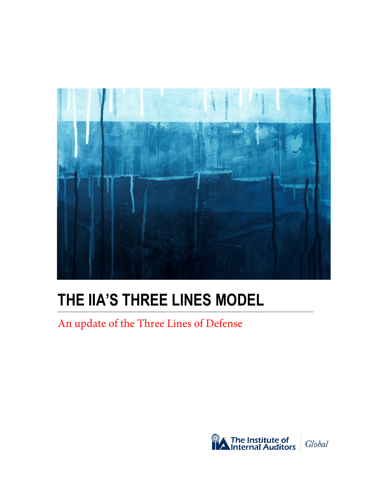

## **THE IIA'S THREE LINES MODEL**

An update of the Three Lines of Defense

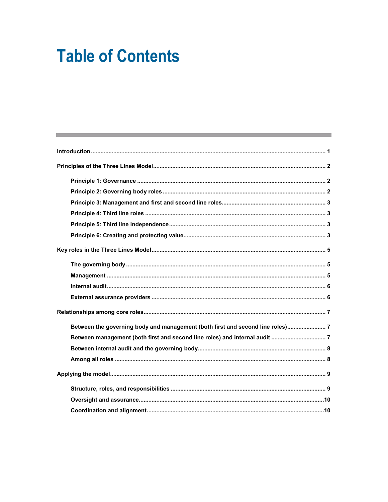# **Table of Contents**

| Between the governing body and management (both first and second line roles) 7 |  |
|--------------------------------------------------------------------------------|--|
|                                                                                |  |
|                                                                                |  |
|                                                                                |  |
|                                                                                |  |
|                                                                                |  |
|                                                                                |  |
|                                                                                |  |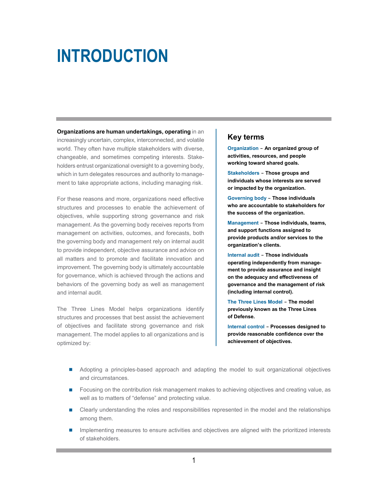## <span id="page-2-0"></span>**INTRODUCTION**

**Organizations are human undertakings, operating** in an increasingly uncertain, complex, interconnected, and volatile world. They often have multiple stakeholders with diverse, changeable, and sometimes competing interests. Stakeholders entrust organizational oversight to a governing body, which in turn delegates resources and authority to management to take appropriate actions, including managing risk.

For these reasons and more, organizations need effective structures and processes to enable the achievement of objectives, while supporting strong governance and risk management. As the governing body receives reports from management on activities, outcomes, and forecasts, both the governing body and management rely on internal audit to provide independent, objective assurance and advice on all matters and to promote and facilitate innovation and improvement. The governing body is ultimately accountable for governance, which is achieved through the actions and behaviors of the governing body as well as management and internal audit.

The Three Lines Model helps organizations identify structures and processes that best assist the achievement of objectives and facilitate strong governance and risk management. The model applies to all organizations and is optimized by:

#### **Key terms**

**Organization - An organized group of activities, resources, and people working toward shared goals.**

**Stakeholders - Those groups and individuals whose interests are served or impacted by the organization.**

**Governing body - Those individuals who are accountable to stakeholders for the success of the organization.**

**Management - Those individuals, teams, and support functions assigned to provide products and/or services to the organization's clients.**

**Internal audit - Those individuals operating independently from management to provide assurance and insight on the adequacy and effectiveness of governance and the management of risk (including internal control).**

**The Three Lines Model - The model previously known as the Three Lines of Defense.**

**Internal control - Processes designed to provide reasonable confidence over the achievement of objectives.**

- **Adopting a principles-based approach and adapting the model to suit organizational objectives** and circumstances.
- **F** Focusing on the contribution risk management makes to achieving objectives and creating value, as well as to matters of "defense" and protecting value.
- **EXECUTE:** Clearly understanding the roles and responsibilities represented in the model and the relationships among them.
- Implementing measures to ensure activities and objectives are aligned with the prioritized interests of stakeholders.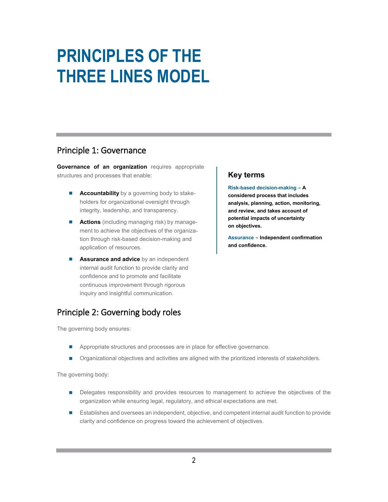## <span id="page-3-0"></span>**PRINCIPLES OF THE THREE LINES MODEL**

#### <span id="page-3-1"></span>Principle 1: Governance

**Governance of an organization** requires appropriate structures and processes that enable:

- **Accountability** by a governing body to stakeholders for organizational oversight through integrity, leadership, and transparency.
- **Actions** (including managing risk) by management to achieve the objectives of the organization through risk-based decision-making and application of resources.
- **Assurance and advice** by an independent internal audit function to provide clarity and confidence and to promote and facilitate continuous improvement through rigorous inquiry and insightful communication.

### <span id="page-3-2"></span>Principle 2: Governing body roles

The governing body ensures:

- Appropriate structures and processes are in place for effective governance.
- Organizational objectives and activities are aligned with the prioritized interests of stakeholders.

The governing body:

- **Delegates responsibility and provides resources to management to achieve the objectives of the** organization while ensuring legal, regulatory, and ethical expectations are met.
- **Establishes and oversees an independent, objective, and competent internal audit function to provide** clarity and confidence on progress toward the achievement of objectives.

#### **Key terms**

**Risk-based decision-making - A considered process that includes analysis, planning, action, monitoring, and review, and takes account of potential impacts of uncertainty on objectives.** 

**Assurance - Independent confirmation and confidence.**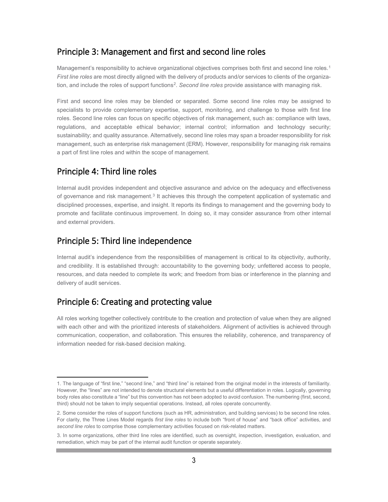#### <span id="page-4-0"></span>Principle 3: Management and first and second line roles

Management's responsibility to achieve organizational objectives comprises both first and second line roles.<sup>[1](#page-4-4)</sup> *First line roles* are most directly aligned with the delivery of products and/or services to clients of the organization, and include the roles of support functions[2.](#page-4-5) *Second line roles* provide assistance with managing risk.

First and second line roles may be blended or separated. Some second line roles may be assigned to specialists to provide complementary expertise, support, monitoring, and challenge to those with first line roles. Second line roles can focus on specific objectives of risk management, such as: compliance with laws, regulations, and acceptable ethical behavior; internal control; information and technology security; sustainability; and quality assurance. Alternatively, second line roles may span a broader responsibility for risk management, such as enterprise risk management (ERM). However, responsibility for managing risk remains a part of first line roles and within the scope of management.

#### <span id="page-4-1"></span>Principle 4: Third line roles

l

Internal audit provides independent and objective assurance and advice on the adequacy and effectiveness of governance and risk management.<sup>[3](#page-4-6)</sup> It achieves this through the competent application of systematic and disciplined processes, expertise, and insight. It reports its findings to management and the governing body to promote and facilitate continuous improvement. In doing so, it may consider assurance from other internal and external providers.

#### <span id="page-4-2"></span>Principle 5: Third line independence

Internal audit's independence from the responsibilities of management is critical to its objectivity, authority, and credibility. It is established through: accountability to the governing body; unfettered access to people, resources, and data needed to complete its work; and freedom from bias or interference in the planning and delivery of audit services.

### <span id="page-4-3"></span>Principle 6: Creating and protecting value

All roles working together collectively contribute to the creation and protection of value when they are aligned with each other and with the prioritized interests of stakeholders. Alignment of activities is achieved through communication, cooperation, and collaboration. This ensures the reliability, coherence, and transparency of information needed for risk-based decision making.

<span id="page-4-4"></span><sup>1.</sup> The language of "first line," "second line," and "third line" is retained from the original model in the interests of familiarity. However, the "lines" are not intended to denote structural elements but a useful differentiation in roles. Logically, governing body roles also constitute a "line" but this convention has not been adopted to avoid confusion. The numbering (first, second, third) should not be taken to imply sequential operations. Instead, all roles operate concurrently.

<span id="page-4-5"></span><sup>2.</sup> Some consider the roles of support functions (such as HR, administration, and building services) to be second line roles. For clarity, the Three Lines Model regards *first line roles* to include both "front of house" and "back office" activities, and *second line roles* to comprise those complementary activities focused on risk-related matters.

<span id="page-4-6"></span><sup>3.</sup> In some organizations, other third line roles are identified, such as oversight, inspection, investigation, evaluation, and remediation, which may be part of the internal audit function or operate separately.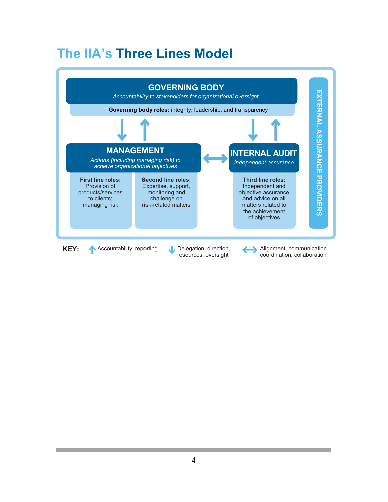## **The IIA's Three Lines Model**

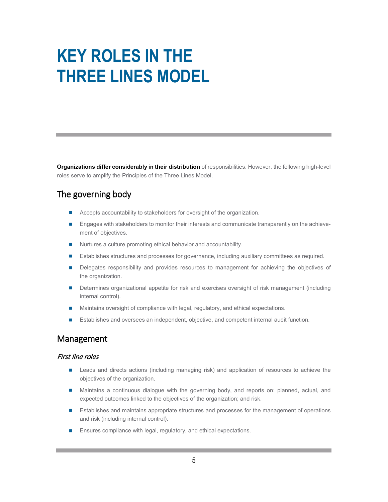## <span id="page-6-0"></span>**KEY ROLES IN THE THREE LINES MODEL**

**Organizations differ considerably in their distribution** of responsibilities. However, the following high-level roles serve to amplify the Principles of the Three Lines Model.

### <span id="page-6-1"></span>The governing body

- Accepts accountability to stakeholders for oversight of the organization.
- **Engages with stakeholders to monitor their interests and communicate transparently on the achieve**ment of objectives.
- Nurtures a culture promoting ethical behavior and accountability.
- Establishes structures and processes for governance, including auxiliary committees as required.
- Delegates responsibility and provides resources to management for achieving the objectives of the organization.
- **Determines organizational appetite for risk and exercises oversight of risk management (including** internal control).
- Maintains oversight of compliance with legal, regulatory, and ethical expectations.
- Establishes and oversees an independent, objective, and competent internal audit function.

#### <span id="page-6-2"></span>Management

#### First line roles

- **E** Leads and directs actions (including managing risk) and application of resources to achieve the objectives of the organization.
- Maintains a continuous dialogue with the governing body, and reports on: planned, actual, and expected outcomes linked to the objectives of the organization; and risk.
- **E** Establishes and maintains appropriate structures and processes for the management of operations and risk (including internal control).
- **Ensures compliance with legal, regulatory, and ethical expectations.**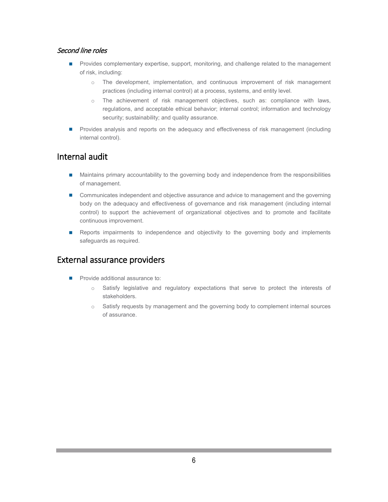#### Second line roles

- **Provides complementary expertise, support, monitoring, and challenge related to the management** of risk, including:
	- o The development, implementation, and continuous improvement of risk management practices (including internal control) at a process, systems, and entity level.
	- o The achievement of risk management objectives, such as: compliance with laws, regulations, and acceptable ethical behavior; internal control; information and technology security; sustainability; and quality assurance.
- **Provides analysis and reports on the adequacy and effectiveness of risk management (including** internal control).

#### <span id="page-7-0"></span>Internal audit

- **Maintains primary accountability to the governing body and independence from the responsibilities** of management.
- **Communicates independent and objective assurance and advice to management and the governing** body on the adequacy and effectiveness of governance and risk management (including internal control) to support the achievement of organizational objectives and to promote and facilitate continuous improvement.
- Reports impairments to independence and objectivity to the governing body and implements safeguards as required.

#### <span id="page-7-1"></span>External assurance providers

- Provide additional assurance to:
	- o Satisfy legislative and regulatory expectations that serve to protect the interests of stakeholders.
	- $\circ$  Satisfy requests by management and the governing body to complement internal sources of assurance.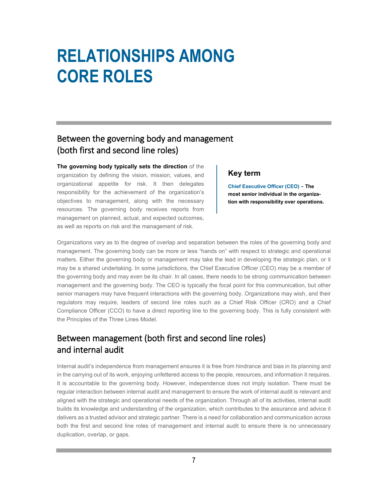## <span id="page-8-0"></span>**RELATIONSHIPS AMONG CORE ROLES**

### <span id="page-8-1"></span>Between the governing body and management (both first and second line roles)

**The governing body typically sets the direction** of the organization by defining the vision, mission, values, and organizational appetite for risk. It then delegates

responsibility for the achievement of the organization's objectives to management, along with the necessary resources. The governing body receives reports from management on planned, actual, and expected outcomes, as well as reports on risk and the management of risk.

#### **Key term**

**Chief Executive Officer (CEO) - The most senior individual in the organization with responsibility over operations.**

Organizations vary as to the degree of overlap and separation between the roles of the governing body and management. The governing body can be more or less "hands on" with respect to strategic and operational matters. Either the governing body or management may take the lead in developing the strategic plan, or it may be a shared undertaking. In some jurisdictions, the Chief Executive Officer (CEO) may be a member of the governing body and may even be its chair. In all cases, there needs to be strong communication between management and the governing body. The CEO is typically the focal point for this communication, but other senior managers may have frequent interactions with the governing body. Organizations may wish, and their regulators may require, leaders of second line roles such as a Chief Risk Officer (CRO) and a Chief Compliance Officer (CCO) to have a direct reporting line to the governing body. This is fully consistent with the Principles of the Three Lines Model.

### <span id="page-8-2"></span>Between management (both first and second line roles) and internal audit

Internal audit's independence from management ensures it is free from hindrance and bias in its planning and in the carrying out of its work, enjoying unfettered access to the people, resources, and information it requires. It is accountable to the governing body. However, independence does not imply isolation. There must be regular interaction between internal audit and management to ensure the work of internal audit is relevant and aligned with the strategic and operational needs of the organization. Through all of its activities, internal audit builds its knowledge and understanding of the organization, which contributes to the assurance and advice it delivers as a trusted advisor and strategic partner. There is a need for collaboration and communication across both the first and second line roles of management and internal audit to ensure there is no unnecessary duplication, overlap, or gaps.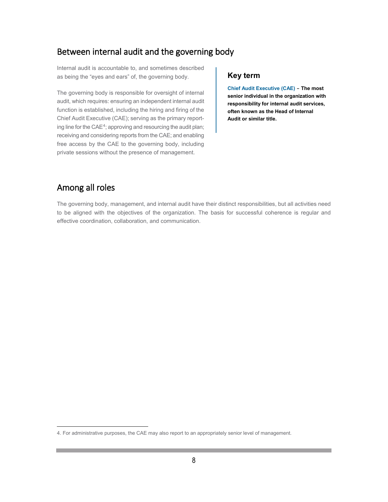#### <span id="page-9-0"></span>Between internal audit and the governing body

Internal audit is accountable to, and sometimes described as being the "eyes and ears" of, the governing body.

The governing body is responsible for oversight of internal audit, which requires: ensuring an independent internal audit function is established, including the hiring and firing of the Chief Audit Executive (CAE); serving as the primary reporting line for the  $CAE<sup>4</sup>$  $CAE<sup>4</sup>$  $CAE<sup>4</sup>$ ; approving and resourcing the audit plan; receiving and considering reports from the CAE; and enabling free access by the CAE to the governing body, including private sessions without the presence of management.

#### **Key term**

**Chief Audit Executive (CAE) - The most senior individual in the organization with responsibility for internal audit services, often known as the Head of Internal Audit or similar title.**

#### <span id="page-9-1"></span>Among all roles

l

The governing body, management, and internal audit have their distinct responsibilities, but all activities need to be aligned with the objectives of the organization. The basis for successful coherence is regular and effective coordination, collaboration, and communication.

<span id="page-9-2"></span><sup>4.</sup> For administrative purposes, the CAE may also report to an appropriately senior level of management.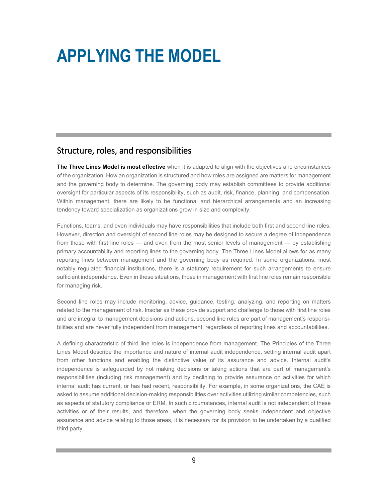## <span id="page-10-0"></span>**APPLYING THE MODEL**

#### <span id="page-10-1"></span>Structure, roles, and responsibilities

**The Three Lines Model is most effective** when it is adapted to align with the objectives and circumstances of the organization. How an organization is structured and how roles are assigned are matters for management and the governing body to determine. The governing body may establish committees to provide additional oversight for particular aspects of its responsibility, such as audit, risk, finance, planning, and compensation. Within management, there are likely to be functional and hierarchical arrangements and an increasing tendency toward specialization as organizations grow in size and complexity.

Functions, teams, and even individuals may have responsibilities that include both first and second line roles. However, direction and oversight of second line roles may be designed to secure a degree of independence from those with first line roles — and even from the most senior levels of management — by establishing primary accountability and reporting lines to the governing body. The Three Lines Model allows for as many reporting lines between management and the governing body as required. In some organizations, most notably regulated financial institutions, there is a statutory requirement for such arrangements to ensure sufficient independence. Even in these situations, those in management with first line roles remain responsible for managing risk.

Second line roles may include monitoring, advice, guidance, testing, analyzing, and reporting on matters related to the management of risk. Insofar as these provide support and challenge to those with first line roles and are integral to management decisions and actions, second line roles are part of management's responsibilities and are never fully independent from management, regardless of reporting lines and accountabilities.

A defining characteristic of third line roles is independence from management. The Principles of the Three Lines Model describe the importance and nature of internal audit independence, setting internal audit apart from other functions and enabling the distinctive value of its assurance and advice. Internal audit's independence is safeguarded by not making decisions or taking actions that are part of management's responsibilities (including risk management) and by declining to provide assurance on activities for which internal audit has current, or has had recent, responsibility. For example, in some organizations, the CAE is asked to assume additional decision-making responsibilities over activities utilizing similar competencies, such as aspects of statutory compliance or ERM. In such circumstances, internal audit is not independent of these activities or of their results, and therefore, when the governing body seeks independent and objective assurance and advice relating to those areas, it is necessary for its provision to be undertaken by a qualified third party.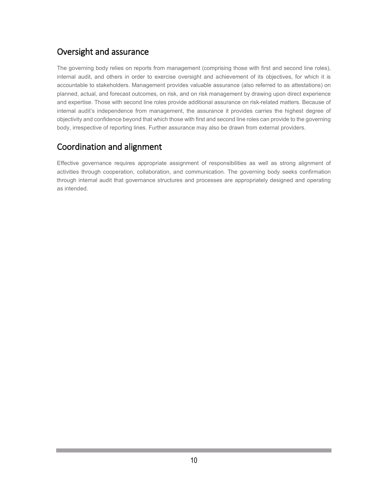### <span id="page-11-0"></span>Oversight and assurance

The governing body relies on reports from management (comprising those with first and second line roles), internal audit, and others in order to exercise oversight and achievement of its objectives, for which it is accountable to stakeholders. Management provides valuable assurance (also referred to as attestations) on planned, actual, and forecast outcomes, on risk, and on risk management by drawing upon direct experience and expertise. Those with second line roles provide additional assurance on risk-related matters. Because of internal audit's independence from management, the assurance it provides carries the highest degree of objectivity and confidence beyond that which those with first and second line roles can provide to the governing body, irrespective of reporting lines. Further assurance may also be drawn from external providers.

### <span id="page-11-1"></span>Coordination and alignment

Effective governance requires appropriate assignment of responsibilities as well as strong alignment of activities through cooperation, collaboration, and communication. The governing body seeks confirmation through internal audit that governance structures and processes are appropriately designed and operating as intended.